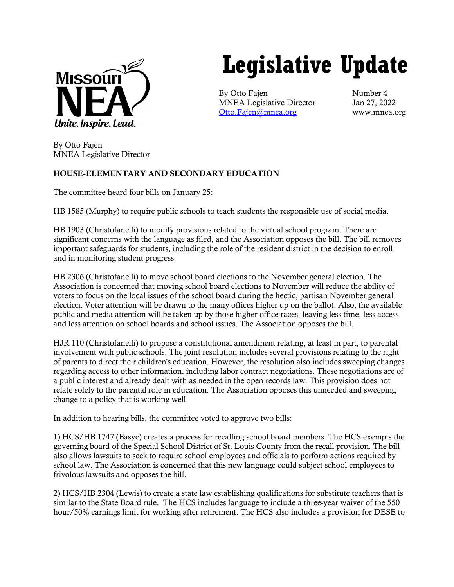

# **Legislative Update**

By Otto Fajen Number 4 MNEA Legislative Director Jan 27, 2022 [Otto.Fajen@mnea.org](mailto:Otto.Fajen@mnea.org) www.mnea.org

By Otto Fajen MNEA Legislative Director

# HOUSE-ELEMENTARY AND SECONDARY EDUCATION

The committee heard four bills on January 25:

HB 1585 (Murphy) to require public schools to teach students the responsible use of social media.

HB 1903 (Christofanelli) to modify provisions related to the virtual school program. There are significant concerns with the language as filed, and the Association opposes the bill. The bill removes important safeguards for students, including the role of the resident district in the decision to enroll and in monitoring student progress.

HB 2306 (Christofanelli) to move school board elections to the November general election. The Association is concerned that moving school board elections to November will reduce the ability of voters to focus on the local issues of the school board during the hectic, partisan November general election. Voter attention will be drawn to the many offices higher up on the ballot. Also, the available public and media attention will be taken up by those higher office races, leaving less time, less access and less attention on school boards and school issues. The Association opposes the bill.

HJR 110 (Christofanelli) to propose a constitutional amendment relating, at least in part, to parental involvement with public schools. The joint resolution includes several provisions relating to the right of parents to direct their children's education. However, the resolution also includes sweeping changes regarding access to other information, including labor contract negotiations. These negotiations are of a public interest and already dealt with as needed in the open records law. This provision does not relate solely to the parental role in education. The Association opposes this unneeded and sweeping change to a policy that is working well.

In addition to hearing bills, the committee voted to approve two bills:

1) HCS/HB 1747 (Basye) creates a process for recalling school board members. The HCS exempts the governing board of the Special School District of St. Louis County from the recall provision. The bill also allows lawsuits to seek to require school employees and officials to perform actions required by school law. The Association is concerned that this new language could subject school employees to frivolous lawsuits and opposes the bill.

2) HCS/HB 2304 (Lewis) to create a state law establishing qualifications for substitute teachers that is similar to the State Board rule. The HCS includes language to include a three-year waiver of the 550 hour/50% earnings limit for working after retirement. The HCS also includes a provision for DESE to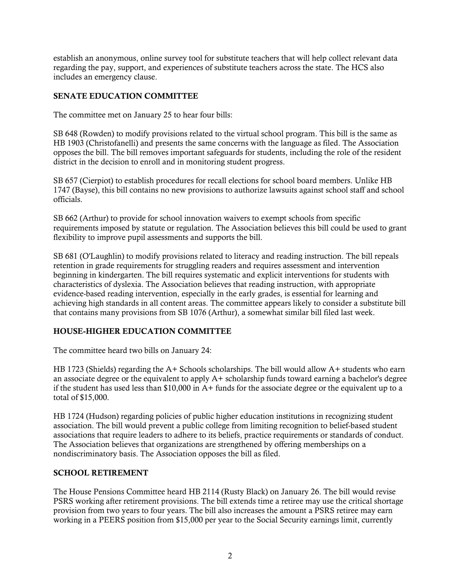establish an anonymous, online survey tool for substitute teachers that will help collect relevant data regarding the pay, support, and experiences of substitute teachers across the state. The HCS also includes an emergency clause.

## SENATE EDUCATION COMMITTEE

The committee met on January 25 to hear four bills:

SB 648 (Rowden) to modify provisions related to the virtual school program. This bill is the same as HB 1903 (Christofanelli) and presents the same concerns with the language as filed. The Association opposes the bill. The bill removes important safeguards for students, including the role of the resident district in the decision to enroll and in monitoring student progress.

SB 657 (Cierpiot) to establish procedures for recall elections for school board members. Unlike HB 1747 (Bayse), this bill contains no new provisions to authorize lawsuits against school staff and school officials.

SB 662 (Arthur) to provide for school innovation waivers to exempt schools from specific requirements imposed by statute or regulation. The Association believes this bill could be used to grant flexibility to improve pupil assessments and supports the bill.

SB 681 (O'Laughlin) to modify provisions related to literacy and reading instruction. The bill repeals retention in grade requirements for struggling readers and requires assessment and intervention beginning in kindergarten. The bill requires systematic and explicit interventions for students with characteristics of dyslexia. The Association believes that reading instruction, with appropriate evidence-based reading intervention, especially in the early grades, is essential for learning and achieving high standards in all content areas. The committee appears likely to consider a substitute bill that contains many provisions from SB 1076 (Arthur), a somewhat similar bill filed last week.

### HOUSE-HIGHER EDUCATION COMMITTEE

The committee heard two bills on January 24:

HB 1723 (Shields) regarding the  $A+$  Schools scholarships. The bill would allow  $A+$  students who earn an associate degree or the equivalent to apply A+ scholarship funds toward earning a bachelor's degree if the student has used less than  $$10,000$  in A+ funds for the associate degree or the equivalent up to a total of \$15,000.

HB 1724 (Hudson) regarding policies of public higher education institutions in recognizing student association. The bill would prevent a public college from limiting recognition to belief-based student associations that require leaders to adhere to its beliefs, practice requirements or standards of conduct. The Association believes that organizations are strengthened by offering memberships on a nondiscriminatory basis. The Association opposes the bill as filed.

### SCHOOL RETIREMENT

The House Pensions Committee heard HB 2114 (Rusty Black) on January 26. The bill would revise PSRS working after retirement provisions. The bill extends time a retiree may use the critical shortage provision from two years to four years. The bill also increases the amount a PSRS retiree may earn working in a PEERS position from \$15,000 per year to the Social Security earnings limit, currently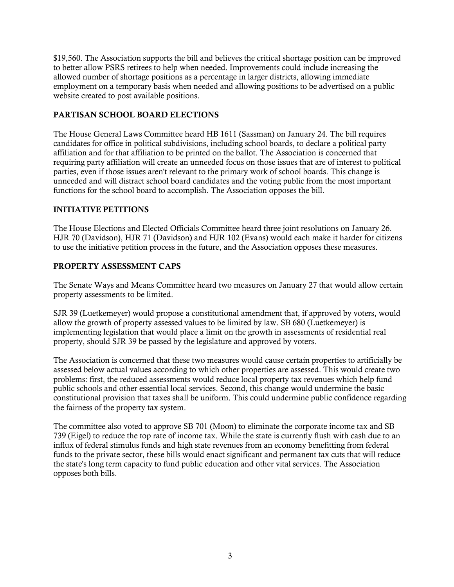\$19,560. The Association supports the bill and believes the critical shortage position can be improved to better allow PSRS retirees to help when needed. Improvements could include increasing the allowed number of shortage positions as a percentage in larger districts, allowing immediate employment on a temporary basis when needed and allowing positions to be advertised on a public website created to post available positions.

# PARTISAN SCHOOL BOARD ELECTIONS

The House General Laws Committee heard HB 1611 (Sassman) on January 24. The bill requires candidates for office in political subdivisions, including school boards, to declare a political party affiliation and for that affiliation to be printed on the ballot. The Association is concerned that requiring party affiliation will create an unneeded focus on those issues that are of interest to political parties, even if those issues aren't relevant to the primary work of school boards. This change is unneeded and will distract school board candidates and the voting public from the most important functions for the school board to accomplish. The Association opposes the bill.

# INITIATIVE PETITIONS

The House Elections and Elected Officials Committee heard three joint resolutions on January 26. HJR 70 (Davidson), HJR 71 (Davidson) and HJR 102 (Evans) would each make it harder for citizens to use the initiative petition process in the future, and the Association opposes these measures.

# PROPERTY ASSESSMENT CAPS

The Senate Ways and Means Committee heard two measures on January 27 that would allow certain property assessments to be limited.

SJR 39 (Luetkemeyer) would propose a constitutional amendment that, if approved by voters, would allow the growth of property assessed values to be limited by law. SB 680 (Luetkemeyer) is implementing legislation that would place a limit on the growth in assessments of residential real property, should SJR 39 be passed by the legislature and approved by voters.

The Association is concerned that these two measures would cause certain properties to artificially be assessed below actual values according to which other properties are assessed. This would create two problems: first, the reduced assessments would reduce local property tax revenues which help fund public schools and other essential local services. Second, this change would undermine the basic constitutional provision that taxes shall be uniform. This could undermine public confidence regarding the fairness of the property tax system.

The committee also voted to approve SB 701 (Moon) to eliminate the corporate income tax and SB 739 (Eigel) to reduce the top rate of income tax. While the state is currently flush with cash due to an influx of federal stimulus funds and high state revenues from an economy benefitting from federal funds to the private sector, these bills would enact significant and permanent tax cuts that will reduce the state's long term capacity to fund public education and other vital services. The Association opposes both bills.